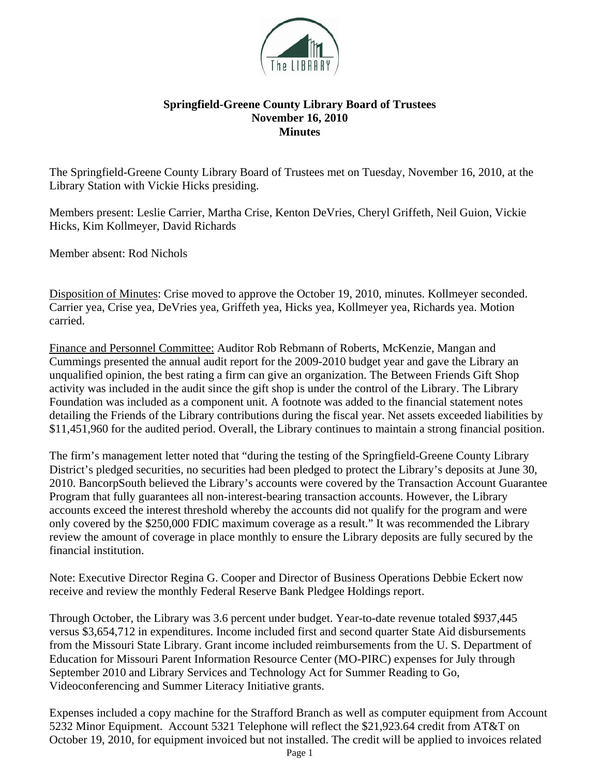

## **Springfield-Greene County Library Board of Trustees November 16, 2010 Minutes**

The Springfield-Greene County Library Board of Trustees met on Tuesday, November 16, 2010, at the Library Station with Vickie Hicks presiding.

Members present: Leslie Carrier, Martha Crise, Kenton DeVries, Cheryl Griffeth, Neil Guion, Vickie Hicks, Kim Kollmeyer, David Richards

Member absent: Rod Nichols

Disposition of Minutes: Crise moved to approve the October 19, 2010, minutes. Kollmeyer seconded. Carrier yea, Crise yea, DeVries yea, Griffeth yea, Hicks yea, Kollmeyer yea, Richards yea. Motion carried.

Finance and Personnel Committee: Auditor Rob Rebmann of Roberts, McKenzie, Mangan and Cummings presented the annual audit report for the 2009-2010 budget year and gave the Library an unqualified opinion, the best rating a firm can give an organization. The Between Friends Gift Shop activity was included in the audit since the gift shop is under the control of the Library. The Library Foundation was included as a component unit. A footnote was added to the financial statement notes detailing the Friends of the Library contributions during the fiscal year. Net assets exceeded liabilities by \$11,451,960 for the audited period. Overall, the Library continues to maintain a strong financial position.

The firm's management letter noted that "during the testing of the Springfield-Greene County Library District's pledged securities, no securities had been pledged to protect the Library's deposits at June 30, 2010. BancorpSouth believed the Library's accounts were covered by the Transaction Account Guarantee Program that fully guarantees all non-interest-bearing transaction accounts. However, the Library accounts exceed the interest threshold whereby the accounts did not qualify for the program and were only covered by the \$250,000 FDIC maximum coverage as a result." It was recommended the Library review the amount of coverage in place monthly to ensure the Library deposits are fully secured by the financial institution.

Note: Executive Director Regina G. Cooper and Director of Business Operations Debbie Eckert now receive and review the monthly Federal Reserve Bank Pledgee Holdings report.

Through October, the Library was 3.6 percent under budget. Year-to-date revenue totaled \$937,445 versus \$3,654,712 in expenditures. Income included first and second quarter State Aid disbursements from the Missouri State Library. Grant income included reimbursements from the U. S. Department of Education for Missouri Parent Information Resource Center (MO-PIRC) expenses for July through September 2010 and Library Services and Technology Act for Summer Reading to Go, Videoconferencing and Summer Literacy Initiative grants.

Expenses included a copy machine for the Strafford Branch as well as computer equipment from Account 5232 Minor Equipment. Account 5321 Telephone will reflect the \$21,923.64 credit from AT&T on October 19, 2010, for equipment invoiced but not installed. The credit will be applied to invoices related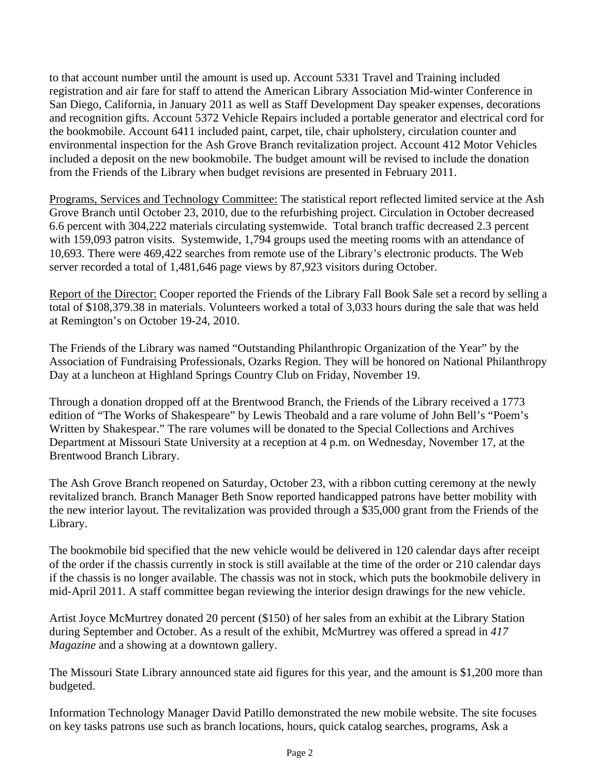to that account number until the amount is used up. Account 5331 Travel and Training included registration and air fare for staff to attend the American Library Association Mid-winter Conference in San Diego, California, in January 2011 as well as Staff Development Day speaker expenses, decorations and recognition gifts. Account 5372 Vehicle Repairs included a portable generator and electrical cord for the bookmobile. Account 6411 included paint, carpet, tile, chair upholstery, circulation counter and environmental inspection for the Ash Grove Branch revitalization project. Account 412 Motor Vehicles included a deposit on the new bookmobile. The budget amount will be revised to include the donation from the Friends of the Library when budget revisions are presented in February 2011.

Programs, Services and Technology Committee: The statistical report reflected limited service at the Ash Grove Branch until October 23, 2010, due to the refurbishing project. Circulation in October decreased 6.6 percent with 304,222 materials circulating systemwide. Total branch traffic decreased 2.3 percent with 159,093 patron visits. Systemwide, 1,794 groups used the meeting rooms with an attendance of 10,693. There were 469,422 searches from remote use of the Library's electronic products. The Web server recorded a total of 1,481,646 page views by 87,923 visitors during October.

Report of the Director: Cooper reported the Friends of the Library Fall Book Sale set a record by selling a total of \$108,379.38 in materials. Volunteers worked a total of 3,033 hours during the sale that was held at Remington's on October 19-24, 2010.

The Friends of the Library was named "Outstanding Philanthropic Organization of the Year" by the Association of Fundraising Professionals, Ozarks Region. They will be honored on National Philanthropy Day at a luncheon at Highland Springs Country Club on Friday, November 19.

Through a donation dropped off at the Brentwood Branch, the Friends of the Library received a 1773 edition of "The Works of Shakespeare" by Lewis Theobald and a rare volume of John Bell's "Poem's Written by Shakespear." The rare volumes will be donated to the Special Collections and Archives Department at Missouri State University at a reception at 4 p.m. on Wednesday, November 17, at the Brentwood Branch Library.

The Ash Grove Branch reopened on Saturday, October 23, with a ribbon cutting ceremony at the newly revitalized branch. Branch Manager Beth Snow reported handicapped patrons have better mobility with the new interior layout. The revitalization was provided through a \$35,000 grant from the Friends of the Library.

The bookmobile bid specified that the new vehicle would be delivered in 120 calendar days after receipt of the order if the chassis currently in stock is still available at the time of the order or 210 calendar days if the chassis is no longer available. The chassis was not in stock, which puts the bookmobile delivery in mid-April 2011. A staff committee began reviewing the interior design drawings for the new vehicle.

Artist Joyce McMurtrey donated 20 percent (\$150) of her sales from an exhibit at the Library Station during September and October. As a result of the exhibit, McMurtrey was offered a spread in *417 Magazine* and a showing at a downtown gallery.

The Missouri State Library announced state aid figures for this year, and the amount is \$1,200 more than budgeted.

Information Technology Manager David Patillo demonstrated the new mobile website. The site focuses on key tasks patrons use such as branch locations, hours, quick catalog searches, programs, Ask a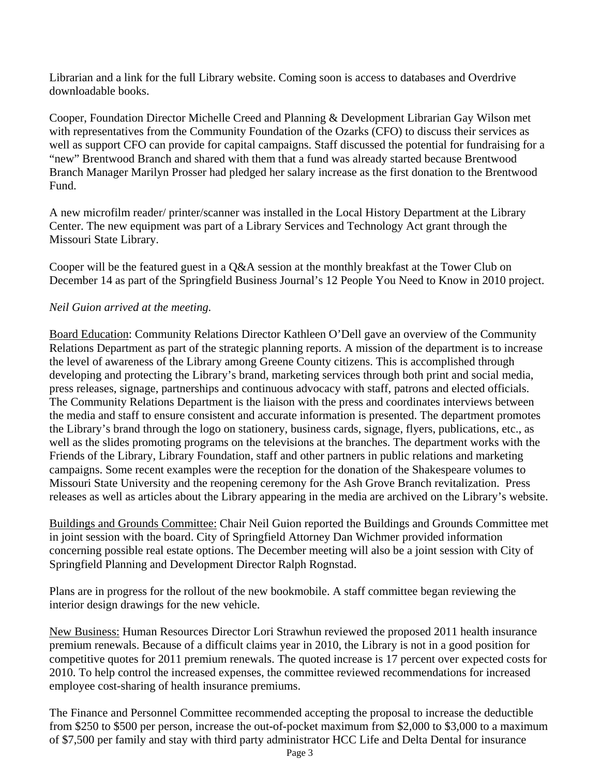Librarian and a link for the full Library website. Coming soon is access to databases and Overdrive downloadable books.

Cooper, Foundation Director Michelle Creed and Planning & Development Librarian Gay Wilson met with representatives from the Community Foundation of the Ozarks (CFO) to discuss their services as well as support CFO can provide for capital campaigns. Staff discussed the potential for fundraising for a "new" Brentwood Branch and shared with them that a fund was already started because Brentwood Branch Manager Marilyn Prosser had pledged her salary increase as the first donation to the Brentwood Fund.

A new microfilm reader/ printer/scanner was installed in the Local History Department at the Library Center. The new equipment was part of a Library Services and Technology Act grant through the Missouri State Library.

Cooper will be the featured guest in a Q&A session at the monthly breakfast at the Tower Club on December 14 as part of the Springfield Business Journal's 12 People You Need to Know in 2010 project.

## *Neil Guion arrived at the meeting.*

Board Education: Community Relations Director Kathleen O'Dell gave an overview of the Community Relations Department as part of the strategic planning reports. A mission of the department is to increase the level of awareness of the Library among Greene County citizens. This is accomplished through developing and protecting the Library's brand, marketing services through both print and social media, press releases, signage, partnerships and continuous advocacy with staff, patrons and elected officials. The Community Relations Department is the liaison with the press and coordinates interviews between the media and staff to ensure consistent and accurate information is presented. The department promotes the Library's brand through the logo on stationery, business cards, signage, flyers, publications, etc., as well as the slides promoting programs on the televisions at the branches. The department works with the Friends of the Library, Library Foundation, staff and other partners in public relations and marketing campaigns. Some recent examples were the reception for the donation of the Shakespeare volumes to Missouri State University and the reopening ceremony for the Ash Grove Branch revitalization. Press releases as well as articles about the Library appearing in the media are archived on the Library's website.

Buildings and Grounds Committee: Chair Neil Guion reported the Buildings and Grounds Committee met in joint session with the board. City of Springfield Attorney Dan Wichmer provided information concerning possible real estate options. The December meeting will also be a joint session with City of Springfield Planning and Development Director Ralph Rognstad.

Plans are in progress for the rollout of the new bookmobile. A staff committee began reviewing the interior design drawings for the new vehicle.

New Business: Human Resources Director Lori Strawhun reviewed the proposed 2011 health insurance premium renewals. Because of a difficult claims year in 2010, the Library is not in a good position for competitive quotes for 2011 premium renewals. The quoted increase is 17 percent over expected costs for 2010. To help control the increased expenses, the committee reviewed recommendations for increased employee cost-sharing of health insurance premiums.

The Finance and Personnel Committee recommended accepting the proposal to increase the deductible from \$250 to \$500 per person, increase the out-of-pocket maximum from \$2,000 to \$3,000 to a maximum of \$7,500 per family and stay with third party administrator HCC Life and Delta Dental for insurance